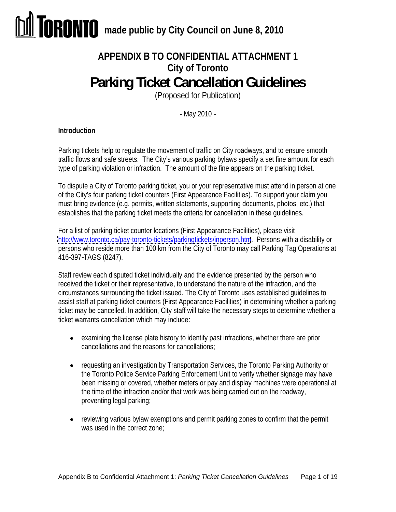# **APPENDIX B TO CONFIDENTIAL ATTACHMENT 1 City of Toronto Parking Ticket Cancellation Guidelines**

(Proposed for Publication)

- May 2010 -

# **Introduction**

Parking tickets help to regulate the movement of traffic on City roadways, and to ensure smooth traffic flows and safe streets. The City's various parking bylaws specify a set fine amount for each type of parking violation or infraction. The amount of the fine appears on the parking ticket.

To dispute a City of Toronto parking ticket, you or your representative must attend in person at one of the City's four parking ticket counters (First Appearance Facilities). To support your claim you must bring evidence (e.g. permits, written statements, supporting documents, photos, etc.) that establishes that the parking ticket meets the criteria for cancellation in these guidelines.

For a list of parking ticket counter locations (First Appearance Facilities), please visit <http://www.toronto.ca/pay-toronto-tickets/parkingtickets/inperson.htm>. Persons with a disability or persons who reside more than 100 km from the City of Toronto may call Parking Tag Operations at 416-397-TAGS (8247).

Staff review each disputed ticket individually and the evidence presented by the person who received the ticket or their representative, to understand the nature of the infraction, and the circumstances surrounding the ticket issued. The City of Toronto uses established guidelines to assist staff at parking ticket counters (First Appearance Facilities) in determining whether a parking ticket may be cancelled. In addition, City staff will take the necessary steps to determine whether a ticket warrants cancellation which may include:

- examining the license plate history to identify past infractions, whether there are prior cancellations and the reasons for cancellations;
- requesting an investigation by Transportation Services, the Toronto Parking Authority or the Toronto Police Service Parking Enforcement Unit to verify whether signage may have been missing or covered, whether meters or pay and display machines were operational at the time of the infraction and/or that work was being carried out on the roadway, preventing legal parking;
- reviewing various bylaw exemptions and permit parking zones to confirm that the permit was used in the correct zone;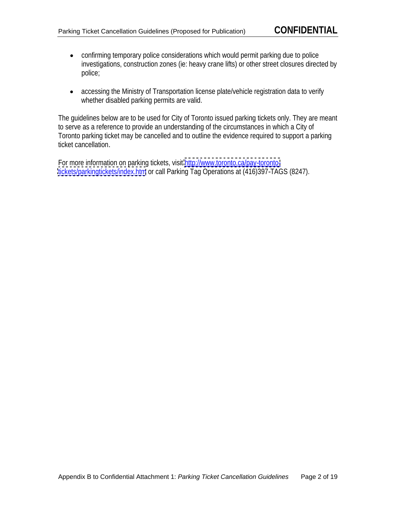- confirming temporary police considerations which would permit parking due to police investigations, construction zones (ie: heavy crane lifts) or other street closures directed by police;
- accessing the Ministry of Transportation license plate/vehicle registration data to verify whether disabled parking permits are valid.

The guidelines below are to be used for City of Toronto issued parking tickets only. They are meant to serve as a reference to provide an understanding of the circumstances in which a City of Toronto parking ticket may be cancelled and to outline the evidence required to support a parking ticket cancellation.

For more information on parking tickets, visit [http://www.toronto.ca/pay-toronto](http://www.toronto.ca/pay-toronto-)<tickets/parkingtickets/index.htm> or call Parking Tag Operations at (416)397-TAGS (8247).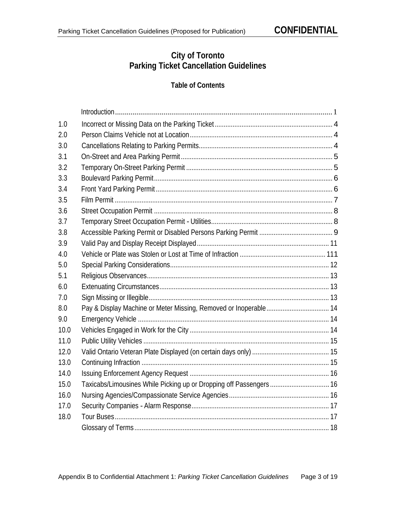# **City of Toronto Parking Ticket Cancellation Guidelines**

# **Table of Contents**

|      | Introduction                                                        |
|------|---------------------------------------------------------------------|
|      |                                                                     |
| 2.0  | Person Claims Vehicle not at Location                               |
| 3.0  |                                                                     |
|      | On-Street and Area Parking Permit.                                  |
| 3.2  |                                                                     |
| 3.3  | <b>Boulevard Parking Permit</b>                                     |
|      |                                                                     |
| 3.5  | <b>Film Permit</b>                                                  |
| 3.6  |                                                                     |
|      |                                                                     |
| 3.8  |                                                                     |
| 3.9  | Valid Pay and Display Receipt Displayed                             |
| 4.0  |                                                                     |
| 5.0  |                                                                     |
|      |                                                                     |
| 6.0  |                                                                     |
|      | Sign Missing or Illegible                                           |
|      |                                                                     |
| 9.0  | Emergency Vehicle                                                   |
| 10.0 |                                                                     |
| 11.0 | Public Utility Vehicles                                             |
| 12.0 |                                                                     |
| 13.0 | Continuing Infraction.                                              |
| 14.0 |                                                                     |
| 15.0 | Taxicabs/Limousines While Picking up or Dropping off Passengers  16 |
| 16.0 | Nursing Agencies/Compassionate Service Agencies                     |
| 17.0 |                                                                     |
| 18.0 | <b>Tour Buses</b>                                                   |
|      | Glossary of Terms                                                   |
|      |                                                                     |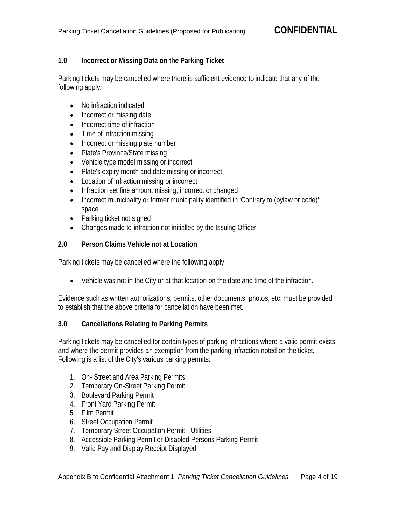# **1.0 Incorrect or Missing Data on the Parking Ticket**

Parking tickets may be cancelled where there is sufficient evidence to indicate that any of the following apply:

- No infraction indicated
- Incorrect or missing date
- Incorrect time of infraction
- Time of infraction missing
- Incorrect or missing plate number
- Plate's Province/State missing
- Vehicle type model missing or incorrect
- Plate's expiry month and date missing or incorrect
- Location of infraction missing or incorrect
- Infraction set fine amount missing, incorrect or changed
- Incorrect municipality or former municipality identified in 'Contrary to (bylaw or code)' space and the contract of the contract of the contract of the contract of the contract of the contract of the contract of the contract of the contract of the contract of the contract of the contract of the contract of the
- Parking ticket not signed
- Changes made to infraction not initialled by the Issuing Officer

# **2.0 Person Claims Vehicle not at Location**

Parking tickets may be cancelled where the following apply:

Vehicle was not in the City or at that location on the date and time of the infraction.

Evidence such as written authorizations, permits, other documents, photos, etc. must be provided to establish that the above criteria for cancellation have been met.

# **3.0 Cancellations Relating to Parking Permits**

Parking tickets may be cancelled for certain types of parking infractions where a valid permit exists and where the permit provides an exemption from the parking infraction noted on the ticket. Following is a list of the City's various parking permits:

- 1. On- Street and Area Parking Permits
- 2. Temporary On-Street Parking Permit
- 3. Boulevard Parking Permit
- 4. Front Yard Parking Permit
- 5. Film Permit
- 6. Street Occupation Permit
- 7. Temporary Street Occupation Permit Utilities
- 8. Accessible Parking Permit or Disabled Persons Parking Permit
- 9. Valid Pay and Display Receipt Displayed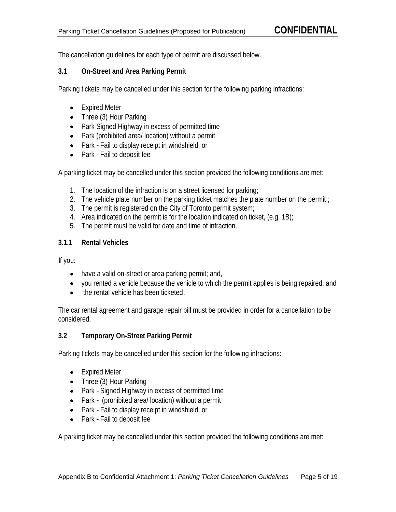The cancellation guidelines for each type of permit are discussed below.

## **3.1 On-Street and Area Parking Permit**

Parking tickets may be cancelled under this section for the following parking infractions:

- Expired Meter
- Three (3) Hour Parking
- Park Signed Highway in excess of permitted time
- Park (prohibited area/ location) without a permit
- Park Fail to display receipt in windshield, or
- Park Fail to deposit fee

A parking ticket may be cancelled under this section provided the following conditions are met:

- 1. The location of the infraction is on a street licensed for parking;
- 2. The vehicle plate number on the parking ticket matches the plate number on the permit ;
- 3. The permit is registered on the City of Toronto permit system;
- 4. Area indicated on the permit is for the location indicated on ticket, (e.g. 1B);
- 5. The permit must be valid for date and time of infraction.

# **3.1.1 Rental Vehicles**

If you:

- have a valid on-street or area parking permit; and,
- you rented a vehicle because the vehicle to which the permit applies is being repaired; and
- the rental vehicle has been ticketed.

The car rental agreement and garage repair bill must be provided in order for a cancellation to be considered.

# **3.2 Temporary On-Street Parking Permit**

Parking tickets may be cancelled under this section for the following infractions:

- Expired Meter
- Three (3) Hour Parking
- Park Signed Highway in excess of permitted time
- Park (prohibited area/ location) without a permit
- Park Fail to display receipt in windshield; or
- Park Fail to deposit fee

A parking ticket may be cancelled under this section provided the following conditions are met: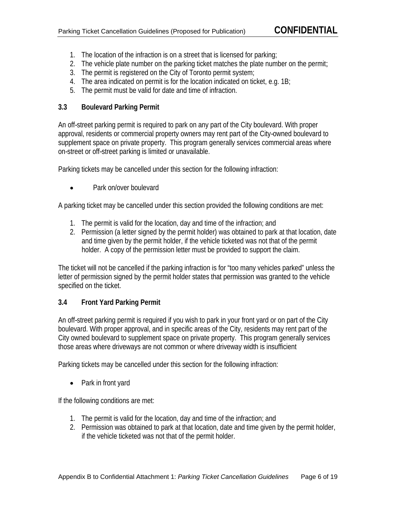- 1. The location of the infraction is on a street that is licensed for parking;
- 2. The vehicle plate number on the parking ticket matches the plate number on the permit;
- 3. The permit is registered on the City of Toronto permit system;
- 4. The area indicated on permit is for the location indicated on ticket, e.g. 1B;
- 5. The permit must be valid for date and time of infraction.

# **3.3 Boulevard Parking Permit**

An off-street parking permit is required to park on any part of the City boulevard. With proper approval, residents or commercial property owners may rent part of the City-owned boulevard to supplement space on private property. This program generally services commercial areas where on-street or off-street parking is limited or unavailable.

Parking tickets may be cancelled under this section for the following infraction:

 $\bullet$ Park on/over boulevard

A parking ticket may be cancelled under this section provided the following conditions are met:

- 1. The permit is valid for the location, day and time of the infraction; and
- 2. Permission (a letter signed by the permit holder) was obtained to park at that location, date and time given by the permit holder, if the vehicle ticketed was not that of the permit holder. A copy of the permission letter must be provided to support the claim.

The ticket will not be cancelled if the parking infraction is for "too many vehicles parked" unless the letter of permission signed by the permit holder states that permission was granted to the vehicle specified on the ticket.

# **3.4 Front Yard Parking Permit**

An off-street parking permit is required if you wish to park in your front yard or on part of the City boulevard. With proper approval, and in specific areas of the City, residents may rent part of the City owned boulevard to supplement space on private property. This program generally services those areas where driveways are not common or where driveway width is insufficient

Parking tickets may be cancelled under this section for the following infraction:

Park in front yard

If the following conditions are met:

- 1. The permit is valid for the location, day and time of the infraction; and
- 2. Permission was obtained to park at that location, date and time given by the permit holder, if the vehicle ticketed was not that of the permit holder.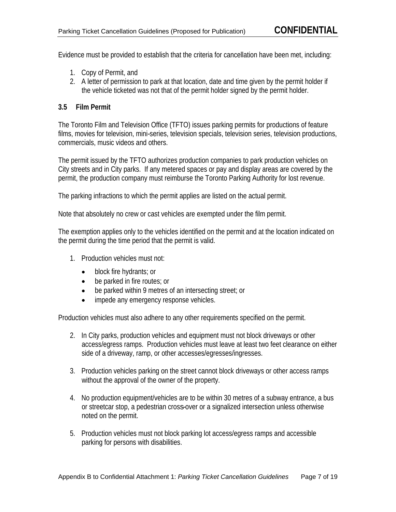Evidence must be provided to establish that the criteria for cancellation have been met, including:

- 1. Copy of Permit, and
- 2. A letter of permission to park at that location, date and time given by the permit holder if the vehicle ticketed was not that of the permit holder signed by the permit holder.

#### **3.5 Film Permit**

The Toronto Film and Television Office (TFTO) issues parking permits for productions of feature films, movies for television, mini-series, television specials, television series, television productions, commercials, music videos and others.

The permit issued by the TFTO authorizes production companies to park production vehicles on City streets and in City parks. If any metered spaces or pay and display areas are covered by the permit, the production company must reimburse the Toronto Parking Authority for lost revenue.

The parking infractions to which the permit applies are listed on the actual permit.

Note that absolutely no crew or cast vehicles are exempted under the film permit.

The exemption applies only to the vehicles identified on the permit and at the location indicated on the permit during the time period that the permit is valid.

- 1. Production vehicles must not:
	- block fire hydrants; or  $\bullet$
	- be parked in fire routes; or  $\bullet$
	- be parked within 9 metres of an intersecting street; or  $\bullet$
	- impede any emergency response vehicles.  $\bullet$

Production vehicles must also adhere to any other requirements specified on the permit.

- 2. In City parks, production vehicles and equipment must not block driveways or other access/egress ramps. Production vehicles must leave at least two feet clearance on either side of a driveway, ramp, or other accesses/egresses/ingresses.
- 3. Production vehicles parking on the street cannot block driveways or other access ramps without the approval of the owner of the property.
- 4. No production equipment/vehicles are to be within 30 metres of a subway entrance, a bus or streetcar stop, a pedestrian cross-over or a signalized intersection unless otherwise noted on the permit.
- 5. Production vehicles must not block parking lot access/egress ramps and accessible parking for persons with disabilities.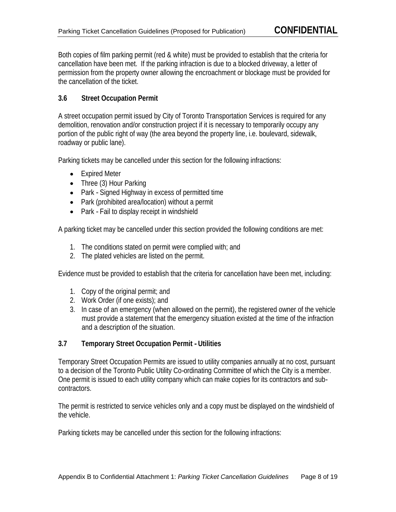Both copies of film parking permit (red & white) must be provided to establish that the criteria for cancellation have been met. If the parking infraction is due to a blocked driveway, a letter of permission from the property owner allowing the encroachment or blockage must be provided for the cancellation of the ticket.

# **3.6 Street Occupation Permit**

A street occupation permit issued by City of Toronto Transportation Services is required for any demolition, renovation and/or construction project if it is necessary to temporarily occupy any portion of the public right of way (the area beyond the property line, i.e. boulevard, sidewalk, roadway or public lane).

Parking tickets may be cancelled under this section for the following infractions:

- Expired Meter
- Three (3) Hour Parking
- Park Signed Highway in excess of permitted time
- Park (prohibited area/location) without a permit
- Park Fail to display receipt in windshield

A parking ticket may be cancelled under this section provided the following conditions are met:

- 1. The conditions stated on permit were complied with; and
- 2. The plated vehicles are listed on the permit.

Evidence must be provided to establish that the criteria for cancellation have been met, including:

- 1. Copy of the original permit; and
- 2. Work Order (if one exists); and
- 3. In case of an emergency (when allowed on the permit), the registered owner of the vehicle must provide a statement that the emergency situation existed at the time of the infraction and a description of the situation.

# **3.7 Temporary Street Occupation Permit - Utilities**

Temporary Street Occupation Permits are issued to utility companies annually at no cost, pursuant to a decision of the Toronto Public Utility Co-ordinating Committee of which the City is a member. One permit is issued to each utility company which can make copies for its contractors and sub contractors. The contractors of the contractors of the contractors of the contractors of the contractors of the contractors of the contractors of the contractors of the contractors of the contractors of the contractors of

The permit is restricted to service vehicles only and a copy must be displayed on the windshield of the vehicle.

Parking tickets may be cancelled under this section for the following infractions: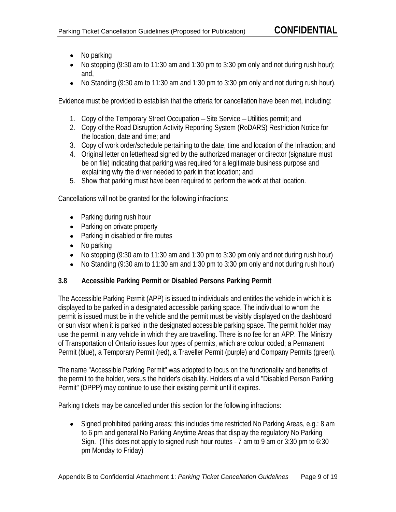- No parking
- $\bullet$  No stopping (9:30 am to 11:30 am and 1:30 pm to 3:30 pm only and not during rush hour); and,
- $\bullet$  No Standing (9:30 am to 11:30 am and 1:30 pm to 3:30 pm only and not during rush hour).

Evidence must be provided to establish that the criteria for cancellation have been met, including:

- 1. Copy of the Temporary Street Occupation –Site Service –Utilities permit; and
- 2. Copy of the Road Disruption Activity Reporting System (RoDARS) Restriction Notice for the location, date and time; and
- 3. Copy of work order/schedule pertaining to the date, time and location of the Infraction; and
- 4. Original letter on letterhead signed by the authorized manager or director (signature must be on file) indicating that parking was required for a legitimate business purpose and explaining why the driver needed to park in that location; and
- 5. Show that parking must have been required to perform the work at that location.

Cancellations will not be granted for the following infractions:

- Parking during rush hour
- Parking on private property
- Parking in disabled or fire routes
- No parking
- No stopping (9:30 am to 11:30 am and 1:30 pm to 3:30 pm only and not during rush hour)
- No Standing (9:30 am to 11:30 am and 1:30 pm to 3:30 pm only and not during rush hour)  $\bullet$

# **3.8 Accessible Parking Permit or Disabled Persons Parking Permit**

The Accessible Parking Permit (APP) is issued to individuals and entitles the vehicle in which it is displayed to be parked in a designated accessible parking space. The individual to whom the permit is issued must be in the vehicle and the permit must be visibly displayed on the dashboard or sun visor when it is parked in the designated accessible parking space. The permit holder may use the permit in any vehicle in which they are travelling. There is no fee for an APP. The Ministry of Transportation of Ontario issues four types of permits, which are colour coded; a Permanent Permit (blue), a Temporary Permit (red), a Traveller Permit (purple) and Company Permits (green).

The name "Accessible Parking Permit" was adopted to focus on the functionality and benefits of the permit to the holder, versus the holder's disability. Holders of a valid "Disabled Person Parking Permit" (DPPP) may continue to use their existing permit until it expires.

Parking tickets may be cancelled under this section for the following infractions:

• Signed prohibited parking areas; this includes time restricted No Parking Areas, e.g.: 8 am to 6 pm and general No Parking Anytime Areas that display the regulatory No Parking Sign. (This does not apply to signed rush hour routes - 7 am to 9 am or 3:30 pm to 6:30 pm Monday to Friday)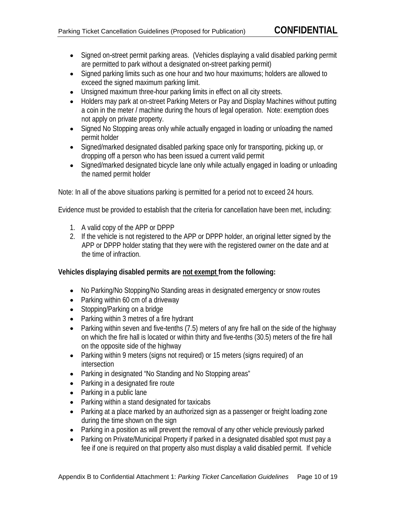- Signed on-street permit parking areas. (Vehicles displaying a valid disabled parking permit are permitted to park without a designated on-street parking permit)
- Signed parking limits such as one hour and two hour maximums; holders are allowed to exceed the signed maximum parking limit.
- Unsigned maximum three-hour parking limits in effect on all city streets.
- Holders may park at on-street Parking Meters or Pay and Display Machines without putting a coin in the meter / machine during the hours of legal operation. Note: exemption does not apply on private property.
- Signed No Stopping areas only while actually engaged in loading or unloading the named permit holder
- Signed/marked designated disabled parking space only for transporting, picking up, or dropping off a person who has been issued a current valid permit
- Signed/marked designated bicycle lane only while actually engaged in loading or unloading the named permit holder

Note: In all of the above situations parking is permitted for a period not to exceed 24 hours.

Evidence must be provided to establish that the criteria for cancellation have been met, including:

- 1. A valid copy of the APP or DPPP
- 2. If the vehicle is not registered to the APP or DPPP holder, an original letter signed by the APP or DPPP holder stating that they were with the registered owner on the date and at the time of infraction.

# **Vehicles displaying disabled permits are not exempt from the following:**

- No Parking/No Stopping/No Standing areas in designated emergency or snow routes
- Parking within 60 cm of a driveway
- Stopping/Parking on a bridge
- Parking within 3 metres of a fire hydrant
- Parking within seven and five-tenths  $(7.5)$  meters of any fire hall on the side of the highway on which the fire hall is located or within thirty and five-tenths (30.5) meters of the fire hall on the opposite side of the highway
- Parking within 9 meters (signs not required) or 15 meters (signs required) of an intersection **interval** and the contract of the contract of the contract of the contract of the contract of the contract of the contract of the contract of the contract of the contract of the contract of the contract of th
- Parking in designated "No Standing and No Stopping areas"
- Parking in a designated fire route
- Parking in a public lane
- Parking within a stand designated for taxicabs
- Parking at a place marked by an authorized sign as a passenger or freight loading zone during the time shown on the sign
- Parking in a position as will prevent the removal of any other vehicle previously parked
- Parking on Private/Municipal Property if parked in a designated disabled spot must pay a fee if one is required on that property also must display a valid disabled permit. If vehicle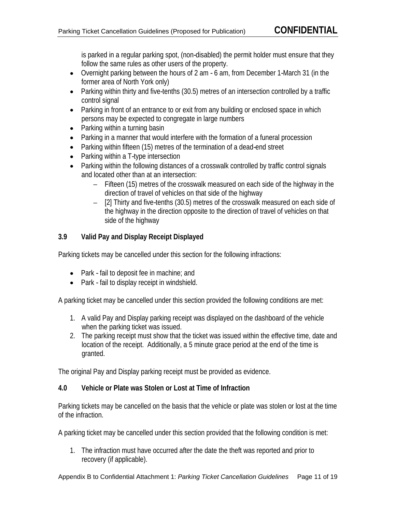is parked in a regular parking spot, (non-disabled) the permit holder must ensure that they follow the same rules as other users of the property.

- Overnight parking between the hours of 2 am 6 am, from December 1-March 31 (in the former area of North York only)
- Parking within thirty and five-tenths (30.5) metres of an intersection controlled by a traffic control signal
- Parking in front of an entrance to or exit from any building or enclosed space in which persons may be expected to congregate in large numbers
- Parking within a turning basin
- Parking in a manner that would interfere with the formation of a funeral procession
- Parking within fifteen (15) metres of the termination of a dead-end street
- Parking within a T-type intersection
- Parking within the following distances of a crosswalk controlled by traffic control signals and located other than at an intersection:
	- Fifteen (15) metres of the crosswalk measured on each side of the highway in the direction of travel of vehicles on that side of the highway
	- [2] Thirty and five-tenths (30.5) metres of the crosswalk measured on each side of the highway in the direction opposite to the direction of travel of vehicles on that side of the highway

# **3.9 Valid Pay and Display Receipt Displayed**

Parking tickets may be cancelled under this section for the following infractions:

- Park fail to deposit fee in machine; and
- Park fail to display receipt in windshield.

A parking ticket may be cancelled under this section provided the following conditions are met:

- 1. A valid Pay and Display parking receipt was displayed on the dashboard of the vehicle when the parking ticket was issued.
- 2. The parking receipt must show that the ticket was issued within the effective time, date and location of the receipt. Additionally, a 5 minute grace period at the end of the time is granted. The contract of the contract of the contract of the contract of the contract of the contract of the contract of the contract of the contract of the contract of the contract of the contract of the contract of the c

The original Pay and Display parking receipt must be provided as evidence.

# **4.0 Vehicle or Plate was Stolen or Lost at Time of Infraction**

Parking tickets may be cancelled on the basis that the vehicle or plate was stolen or lost at the time of the infraction.

A parking ticket may be cancelled under this section provided that the following condition is met:

1. The infraction must have occurred after the date the theft was reported and prior to recovery (if applicable).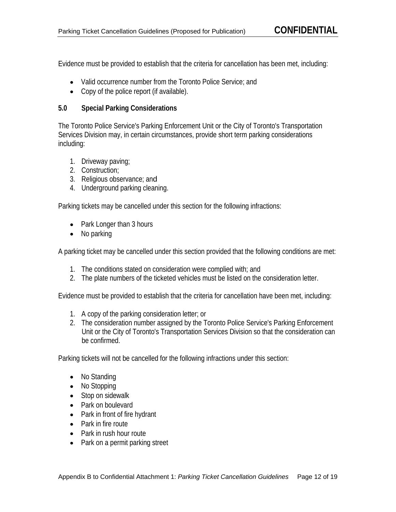Evidence must be provided to establish that the criteria for cancellation has been met, including:

- Valid occurrence number from the Toronto Police Service; and
- Copy of the police report (if available).

## **5.0 Special Parking Considerations**

The Toronto Police Service's Parking Enforcement Unit or the City of Toronto's Transportation Services Division may, in certain circumstances, provide short term parking considerations including:

- 1. Driveway paving;
- 2. Construction;
- 3. Religious observance; and
- 4. Underground parking cleaning.

Parking tickets may be cancelled under this section for the following infractions:

- Park Longer than 3 hours
- No parking

A parking ticket may be cancelled under this section provided that the following conditions are met:

- 1. The conditions stated on consideration were complied with; and
- 2. The plate numbers of the ticketed vehicles must be listed on the consideration letter.

Evidence must be provided to establish that the criteria for cancellation have been met, including:

- 1. A copy of the parking consideration letter; or
- 2. The consideration number assigned by the Toronto Police Service's Parking Enforcement Unit or the City of Toronto's Transportation Services Division so that the consideration can be confirmed. The confirmed of the control of the confirmed of the confirmed of the confirmed.

Parking tickets will not be cancelled for the following infractions under this section:

- No Standing
- No Stopping
- Stop on sidewalk
- Park on boulevard
- Park in front of fire hydrant
- Park in fire route
- Park in rush hour route
- Park on a permit parking street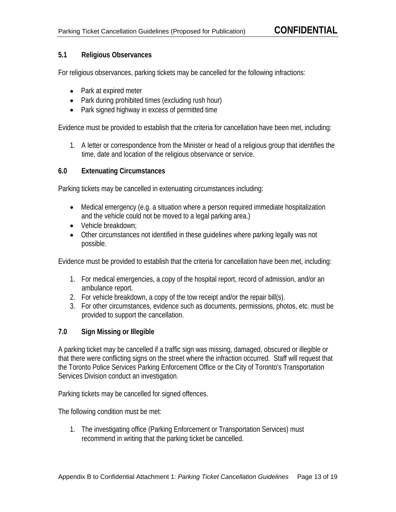# **5.1 Religious Observances**

For religious observances, parking tickets may be cancelled for the following infractions:

- Park at expired meter
- Park during prohibited times (excluding rush hour)
- Park signed highway in excess of permitted time

Evidence must be provided to establish that the criteria for cancellation have been met, including:

1. A letter or correspondence from the Minister or head of a religious group that identifies the time, date and location of the religious observance or service.

#### **6.0 Extenuating Circumstances**

Parking tickets may be cancelled in extenuating circumstances including:

- Medical emergency (e.g. a situation where a person required immediate hospitalization and the vehicle could not be moved to a legal parking area.)
- Vehicle breakdown:
- Other circumstances not identified in these guidelines where parking legally was not possible. The contract of the contract of the contract of the contract of the contract of the contract of the contract of the contract of the contract of the contract of the contract of the contract of the contract of the

Evidence must be provided to establish that the criteria for cancellation have been met, including:

- 1. For medical emergencies, a copy of the hospital report, record of admission, and/or an ambulance report.
- 2. For vehicle breakdown, a copy of the tow receipt and/or the repair bill(s).
- 3. For other circumstances, evidence such as documents, permissions, photos, etc. must be provided to support the cancellation.

#### **7.0 Sign Missing or Illegible**

A parking ticket may be cancelled if a traffic sign was missing, damaged, obscured or illegible or that there were conflicting signs on the street where the infraction occurred. Staff will request that the Toronto Police Services Parking Enforcement Office or the City of Toronto's Transportation Services Division conduct an investigation.

Parking tickets may be cancelled for signed offences.<br>The following condition must be met:

1. The investigating office (Parking Enforcement or Transportation Services) must recommend in writing that the parking ticket be cancelled.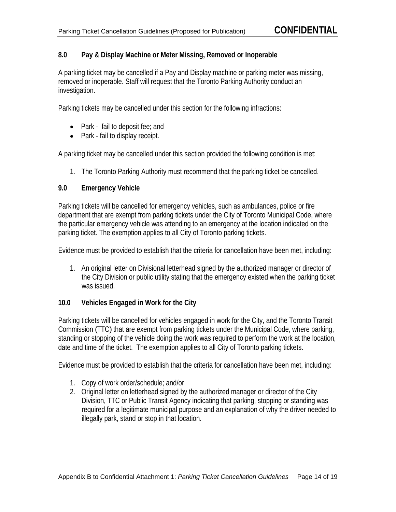# **8.0 Pay & Display Machine or Meter Missing, Removed or Inoperable**

A parking ticket may be cancelled if a Pay and Display machine or parking meter was missing, removed or inoperable. Staff will request that the Toronto Parking Authority conduct an investigation.

Parking tickets may be cancelled under this section for the following infractions:

- Park fail to deposit fee; and
- Park fail to display receipt.

A parking ticket may be cancelled under this section provided the following condition is met:

1. The Toronto Parking Authority must recommend that the parking ticket be cancelled.

#### **9.0 Emergency Vehicle**

Parking tickets will be cancelled for emergency vehicles, such as ambulances, police or fire department that are exempt from parking tickets under the City of Toronto Municipal Code, where the particular emergency vehicle was attending to an emergency at the location indicated on the parking ticket. The exemption applies to all City of Toronto parking tickets.

Evidence must be provided to establish that the criteria for cancellation have been met, including:

1. An original letter on Divisional letterhead signed by the authorized manager or director of the City Division or public utility stating that the emergency existed when the parking ticket was issued. The contract of the contract of the contract of the contract of the contract of the contract of the contract of the contract of the contract of the contract of the contract of the contract of the contract of th

# **10.0 Vehicles Engaged in Work for the City**

Parking tickets will be cancelled for vehicles engaged in work for the City, and the Toronto Transit Commission (TTC) that are exempt from parking tickets under the Municipal Code, where parking, standing or stopping of the vehicle doing the work was required to perform the work at the location, date and time of the ticket. The exemption applies to all City of Toronto parking tickets.

Evidence must be provided to establish that the criteria for cancellation have been met, including:

- 1. Copy of work order/schedule; and/or
- 2. Original letter on letterhead signed by the authorized manager or director of the City Division, TTC or Public Transit Agency indicating that parking, stopping or standing was required for a legitimate municipal purpose and an explanation of why the driver needed to illegally park, stand or stop in that location.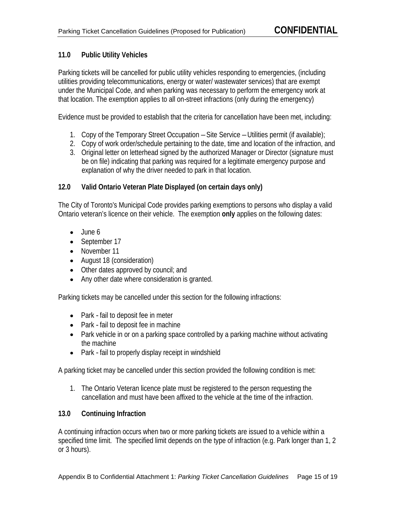# **11.0 Public Utility Vehicles**

Parking tickets will be cancelled for public utility vehicles responding to emergencies, (including utilities providing telecommunications, energy or water/ wastewater services) that are exempt under the Municipal Code, and when parking was necessary to perform the emergency work at that location. The exemption applies to all on-street infractions (only during the emergency)

Evidence must be provided to establish that the criteria for cancellation have been met, including:

- 1. Copy of the Temporary Street Occupation –Site Service –Utilities permit (if available);
- 2. Copy of work order/schedule pertaining to the date, time and location of the infraction, and
- 3. Original letter on letterhead signed by the authorized Manager or Director (signature must be on file) indicating that parking was required for a legitimate emergency purpose and explanation of why the driver needed to park in that location.

# **12.0 Valid Ontario Veteran Plate Displayed (on certain days only)**

The City of Toronto's Municipal Code provides parking exemptions to persons who display a valid Ontario veteran's licence on their vehicle. The exemption **only** applies on the following dates:

- June 6
- September 17
- November 11
- August 18 (consideration)
- Other dates approved by council; and
- Any other date where consideration is granted.

Parking tickets may be cancelled under this section for the following infractions:

- Park fail to deposit fee in meter
- Park fail to deposit fee in machine
- Park vehicle in or on a parking space controlled by a parking machine without activating the machine
- Park fail to properly display receipt in windshield

A parking ticket may be cancelled under this section provided the following condition is met:

1. The Ontario Veteran licence plate must be registered to the person requesting the cancellation and must have been affixed to the vehicle at the time of the infraction.

# **13.0 Continuing Infraction**

A continuing infraction occurs when two or more parking tickets are issued to a vehicle within a specified time limit. The specified limit depends on the type of infraction (e.g. Park longer than 1, 2 or 3 hours).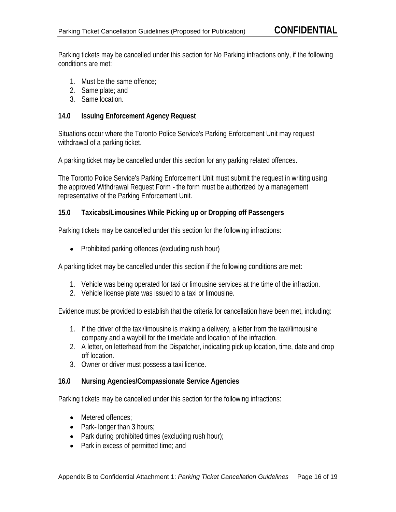Parking tickets may be cancelled under this section for No Parking infractions only, if the following conditions are met:

- 1. Must be the same offence;
- 2. Same plate; and
- 3. Same location.

## **14.0 Issuing Enforcement Agency Request**

Situations occur where the Toronto Police Service's Parking Enforcement Unit may request withdrawal of a parking ticket.

A parking ticket may be cancelled under this section for any parking related offences.

The Toronto Police Service's Parking Enforcement Unit must submit the request in writing using the approved Withdrawal Request Form - the form must be authorized by a management representative of the Parking Enforcement Unit.

#### **15.0 Taxicabs/Limousines While Picking up or Dropping off Passengers**

Parking tickets may be cancelled under this section for the following infractions:

• Prohibited parking offences (excluding rush hour)

A parking ticket may be cancelled under this section if the following conditions are met:

- 1. Vehicle was being operated for taxi or limousine services at the time of the infraction.
- 2. Vehicle license plate was issued to a taxi or limousine.

Evidence must be provided to establish that the criteria for cancellation have been met, including:

- 1. If the driver of the taxi/limousine is making a delivery, a letter from the taxi/limousine company and a waybill for the time/date and location of the infraction.
- 2. A letter, on letterhead from the Dispatcher, indicating pick up location, time, date and drop off location. The contract of the contract of the contract of the contract of the contract of the contract of the contract of the contract of the contract of the contract of the contract of the contract of the contract of
- 3. Owner or driver must possess a taxi licence.

#### **16.0 Nursing Agencies/Compassionate Service Agencies**

Parking tickets may be cancelled under this section for the following infractions:

- Metered offences;
- Park- longer than 3 hours;
- Park during prohibited times (excluding rush hour);
- Park in excess of permitted time; and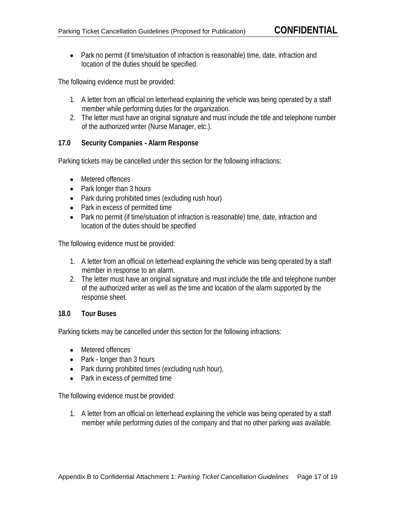• Park no permit (if time/situation of infraction is reasonable) time, date, infraction and location of the duties should be specified.

The following evidence must be provided:

- 1. A letter from an official on letterhead explaining the vehicle was being operated by a staff member while performing duties for the organization.
- 2. The letter must have an original signature and must include the title and telephone number of the authorized writer (Nurse Manager, etc.).

#### **17.0 Security Companies - Alarm Response**

Parking tickets may be cancelled under this section for the following infractions:

- Metered offences
- Park longer than 3 hours
- Park during prohibited times (excluding rush hour)
- Park in excess of permitted time
- Park no permit (if time/situation of infraction is reasonable) time, date, infraction and location of the duties should be specified

The following evidence must be provided:

- 1. A letter from an official on letterhead explaining the vehicle was being operated by a staff member in response to an alarm.
- 2. The letter must have an original signature and must include the title and telephone number of the authorized writer as well as the time and location of the alarm supported by the response sheet.

#### **18.0 Tour Buses**

Parking tickets may be cancelled under this section for the following infractions:

- Metered offences
- Park longer than 3 hours
- Park during prohibited times (excluding rush hour),
- Park in excess of permitted time

The following evidence must be provided:

1. A letter from an official on letterhead explaining the vehicle was being operated by a staff member while performing duties of the company and that no other parking was available.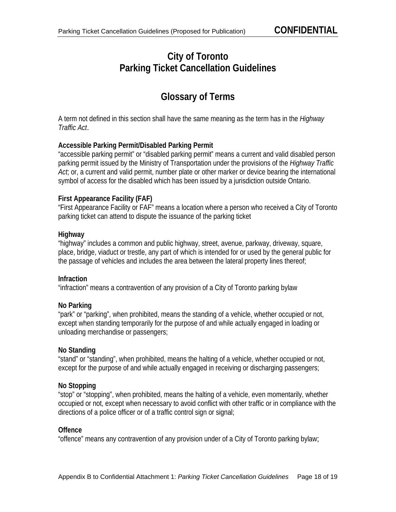# **City of Toronto Parking Ticket Cancellation Guidelines**

# **Glossary of Terms**

A term not defined in this section shall have the same meaning as the term has in the Highway Traffic Act.

# **Accessible Parking Permit/Disabled Parking Permit**

"accessible parking permit" or "disabled parking permit" means a current and valid disabled person parking permit issued by the Ministry of Transportation under the provisions of the Highway Traffic Act; or, a current and valid permit, number plate or other marker or device bearing the international symbol of access for the disabled which has been issued by a jurisdiction outside Ontario.

# **First Appearance Facility (FAF)**

"First Appearance Facility or FAF" means a location where a person who received a City of Toronto parking ticket can attend to dispute the issuance of the parking ticket

# **Highway**

"highway" includes a common and public highway, street, avenue, parkway, driveway, square, place, bridge, viaduct or trestle, any part of which is intended for or used by the general public for the passage of vehicles and includes the area between the lateral property lines thereof;

# **Infraction**

"infraction" means a contravention of any provision of a City of Toronto parking bylaw

# **No Parking**

"park" or "parking", when prohibited, means the standing of a vehicle, whether occupied or not, except when standing temporarily for the purpose of and while actually engaged in loading or unloading merchandise or passengers;

# **No Standing**

"stand" or "standing", when prohibited, means the halting of a vehicle, whether occupied or not, except for the purpose of and while actually engaged in receiving or discharging passengers;

# **No Stopping**

"stop" or "stopping", when prohibited, means the halting of a vehicle, even momentarily, whether occupied or not, except when necessary to avoid conflict with other traffic or in compliance with the directions of a police officer or of a traffic control sign or signal;

# **Offence**

"offence" means any contravention of any provision under of a City of Toronto parking bylaw;